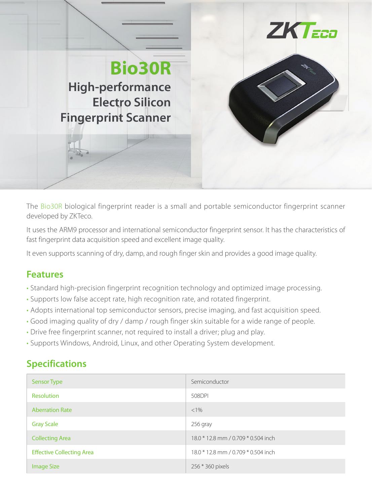

The Bio30R biological fingerprint reader is a small and portable semiconductor fingerprint scanner developed by ZKTeco.

It uses the ARM9 processor and international semiconductor fingerprint sensor. It has the characteristics of fast fingerprint data acquisition speed and excellent image quality.

It even supports scanning of dry, damp, and rough finger skin and provides a good image quality.

## **Features**

- **·** Standard high-precision fingerprint recognition technology and optimized image processing.
- **·** Supports low false accept rate, high recognition rate, and rotated fingerprint.
- **·** Adopts international top semiconductor sensors, precise imaging, and fast acquisition speed.
- **·** Good imaging quality of dry / damp / rough finger skin suitable for a wide range of people.
- **·** Drive free fingerprint scanner, not required to install a driver; plug and play.
- **·** Supports Windows, Android, Linux, and other Operating System development.

## **Specifications**

| Sensor Type                      | Semiconductor                       |
|----------------------------------|-------------------------------------|
| Resolution                       | 508DPI                              |
| <b>Aberration Rate</b>           | $<1\%$                              |
| <b>Gray Scale</b>                | 256 gray                            |
| <b>Collecting Area</b>           | 18.0 * 12.8 mm / 0.709 * 0.504 inch |
| <b>Effective Collecting Area</b> | 18.0 * 12.8 mm / 0.709 * 0.504 inch |
| <b>Image Size</b>                | 256 * 360 pixels                    |